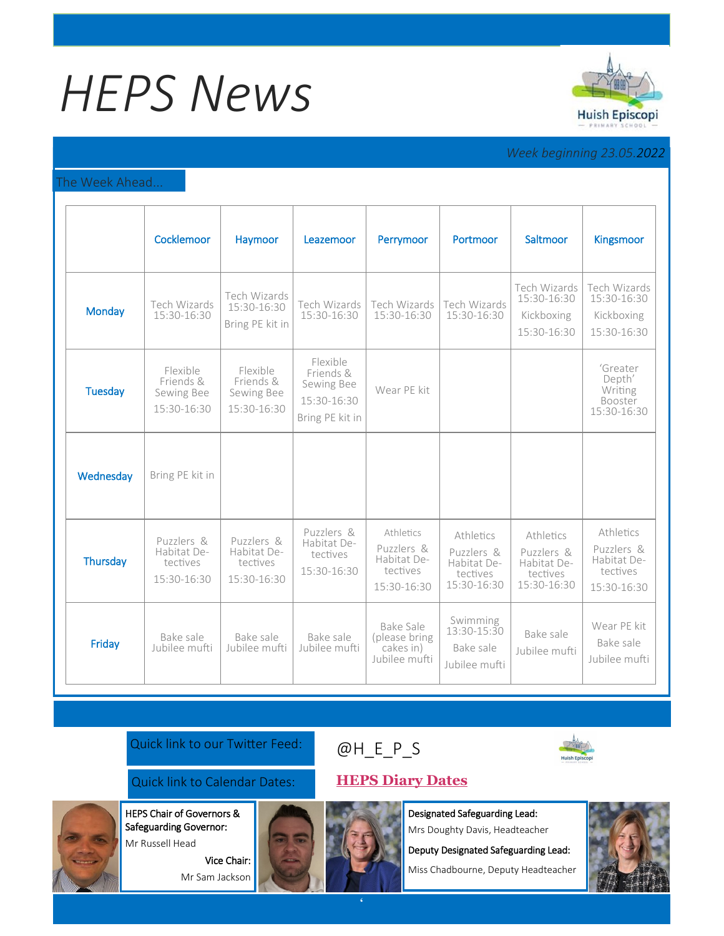# *HEPS News*



# *Week beginning 23.05.2022*

#### The Week Ahead...

|                | Cocklemoor                                           | Haymoor                                              | Leazemoor                                                             | Perrymoor                                                         | Portmoor                                                          | Saltmoor                                                          | <b>Kingsmoor</b>                                                  |
|----------------|------------------------------------------------------|------------------------------------------------------|-----------------------------------------------------------------------|-------------------------------------------------------------------|-------------------------------------------------------------------|-------------------------------------------------------------------|-------------------------------------------------------------------|
| Monday         | Tech Wizards<br>15:30-16:30                          | Tech Wizards<br>15:30-16:30<br>Bring PE kit in       | Tech Wizards<br>15:30-16:30                                           | Tech Wizards<br>15:30-16:30                                       | Tech Wizards<br>15:30-16:30                                       | Tech Wizards<br>15:30-16:30<br>Kickboxing<br>15:30-16:30          | Tech Wizards<br>15:30-16:30<br>Kickboxing<br>15:30-16:30          |
| <b>Tuesday</b> | Flexible<br>Friends &<br>Sewing Bee<br>15:30-16:30   | Flexible<br>Friends &<br>Sewing Bee<br>15:30-16:30   | Flexible<br>Friends &<br>Sewing Bee<br>15:30-16:30<br>Bring PE kit in | Wear PE kit                                                       |                                                                   |                                                                   | 'Greater<br>Depth'<br>Writing<br>Booster<br>15:30-16:30           |
| Wednesday      | Bring PE kit in                                      |                                                      |                                                                       |                                                                   |                                                                   |                                                                   |                                                                   |
| Thursday       | Puzzlers &<br>Habitat De-<br>tectives<br>15:30-16:30 | Puzzlers &<br>Habitat De-<br>tectives<br>15:30-16:30 | Puzzlers &<br>Habitat De-<br>tectives<br>15:30-16:30                  | Athletics<br>Puzzlers &<br>Habitat De-<br>tectives<br>15:30-16:30 | Athletics<br>Puzzlers &<br>Habitat De-<br>tectives<br>15:30-16:30 | Athletics<br>Puzzlers &<br>Habitat De-<br>tectives<br>15:30-16:30 | Athletics<br>Puzzlers &<br>Habitat De-<br>tectives<br>15:30-16:30 |
| Friday         | Bake sale<br>Jubilee mufti                           | Bake sale<br>Jubilee mufti                           | Bake sale<br>Jubilee mufti                                            | Bake Sale<br>(please bring<br>cakes in)<br>Jubilee mufti          | Swimming<br>13:30-15:30<br>Bake sale<br>Jubilee mufti             | Bake sale<br>Jubilee mufti                                        | Wear PE kit<br>Bake sale<br>Jubilee mufti                         |

### Quick link to our Twitter Feed:

## Quick link to Calendar Dates: **[HEPS Diary Dates](https://huishepiscopiprimary.co.uk/diary-dates/)**

HEPS Chair of Governors &

Safeguarding Governor: Mr Russell Head

> Vice Chair: Mr Sam Jackson





Designated Safeguarding Lead: Mrs Doughty Davis, Headteacher

Deputy Designated Safeguarding Lead:

Miss Chadbourne, Deputy Headteacher